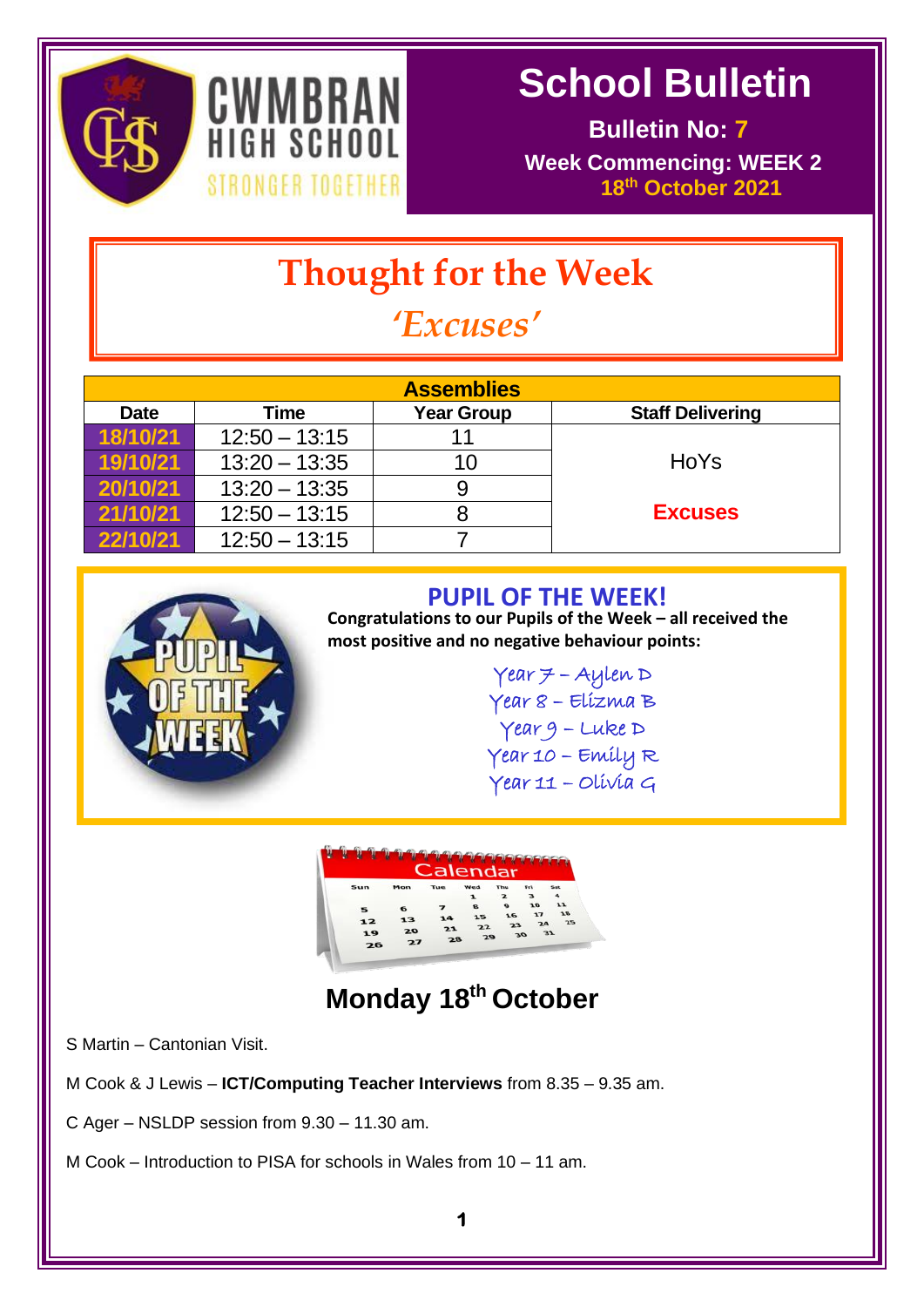



 **Bulletin No: 7 Week Commencing: WEEK 2 8IRONGER TOGETHER 18<sup>th</sup> October 2021** 

# **Thought for the Week**

# *'Excuses'*

| <b>Assemblies</b>   |                 |                   |                         |  |  |  |  |  |  |  |
|---------------------|-----------------|-------------------|-------------------------|--|--|--|--|--|--|--|
| <b>Date</b><br>Time |                 | <b>Year Group</b> | <b>Staff Delivering</b> |  |  |  |  |  |  |  |
| 18/10/21            | $12:50 - 13:15$ |                   |                         |  |  |  |  |  |  |  |
| 19/10/21            | $13:20 - 13:35$ | 10                | HoYs                    |  |  |  |  |  |  |  |
| 20/10/21            | $13:20 - 13:35$ | 9                 |                         |  |  |  |  |  |  |  |
| 21/10/21            | $12:50 - 13:15$ |                   | <b>Excuses</b>          |  |  |  |  |  |  |  |
| 22/10/21            | $12:50 - 13:15$ |                   |                         |  |  |  |  |  |  |  |



#### **PUPIL OF THE WEEK!**

**Congratulations to our Pupils of the Week – all received the most positive and no negative behaviour points:**

> $Year = Aylen D$ Year 8 – Elizma B Year 9 – Luke D Year 10 – Emily R Year 11 – Olivia G

> > l,



**Monday 18th October**

S Martin – Cantonian Visit.

M Cook & J Lewis – **ICT/Computing Teacher Interviews** from 8.35 – 9.35 am.

C Ager – NSLDP session from 9.30 – 11.30 am.

M Cook – Introduction to PISA for schools in Wales from 10 – 11 am.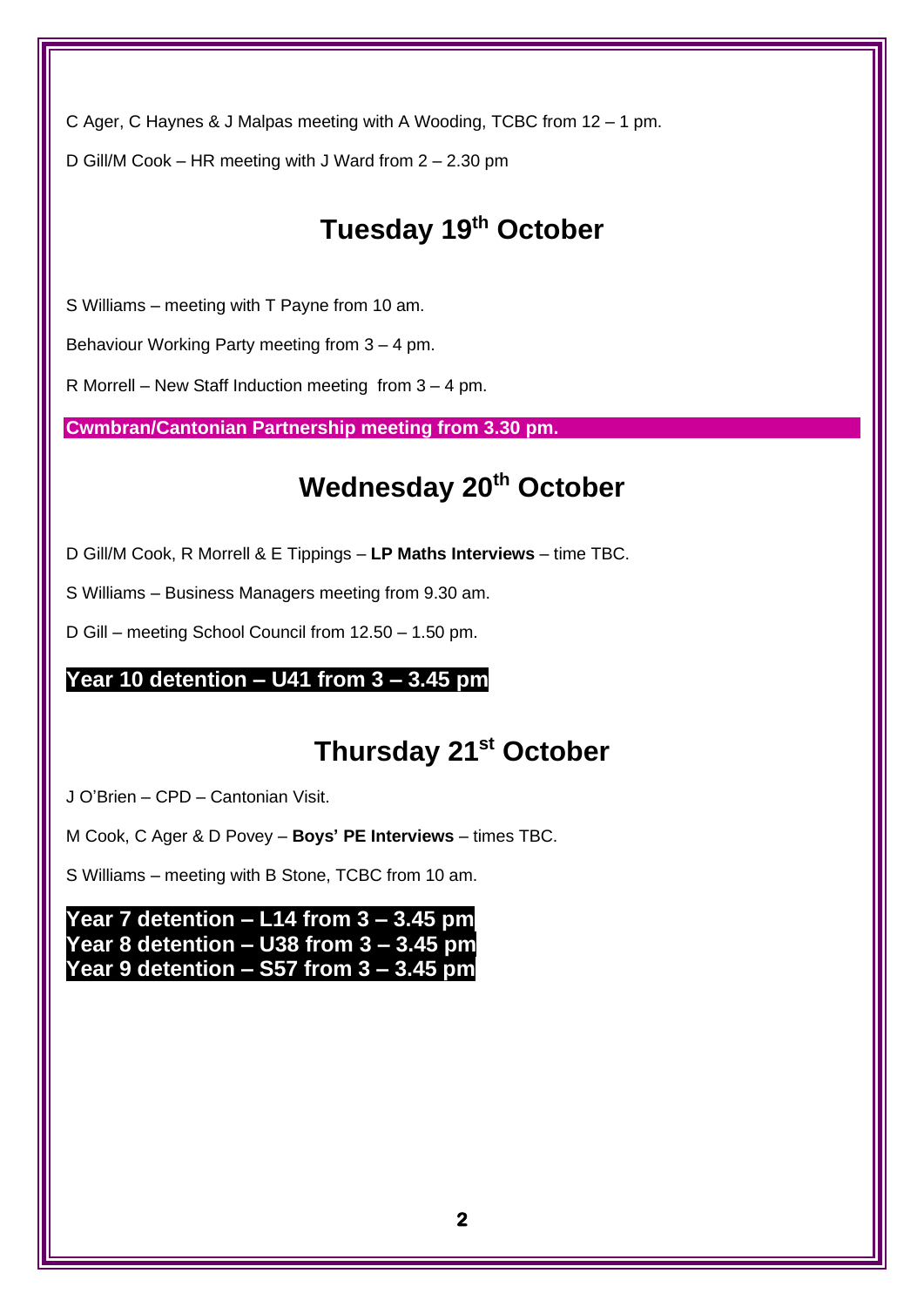C Ager, C Haynes & J Malpas meeting with A Wooding, TCBC from 12 – 1 pm. D Gill/M Cook – HR meeting with J Ward from 2 – 2.30 pm

## **Tuesday 19th October**

S Williams – meeting with T Payne from 10 am.

Behaviour Working Party meeting from 3 – 4 pm.

R Morrell – New Staff Induction meeting from 3 – 4 pm.

**Cwmbran/Cantonian Partnership meeting from 3.30 pm.**

### **Wednesday 20th October**

D Gill/M Cook, R Morrell & E Tippings – **LP Maths Interviews** – time TBC.

S Williams – Business Managers meeting from 9.30 am.

D Gill – meeting School Council from 12.50 – 1.50 pm.

#### **Year 10 detention – U41 from 3 – 3.45 pm**

#### **Thursday 21st October**

J O'Brien – CPD – Cantonian Visit.

M Cook, C Ager & D Povey – **Boys' PE Interviews** – times TBC.

S Williams – meeting with B Stone, TCBC from 10 am.

**Year 7 detention – L14 from 3 – 3.45 pm Year 8 detention – U38 from 3 – 3.45 pm Year 9 detention – S57 from 3 – 3.45 pm**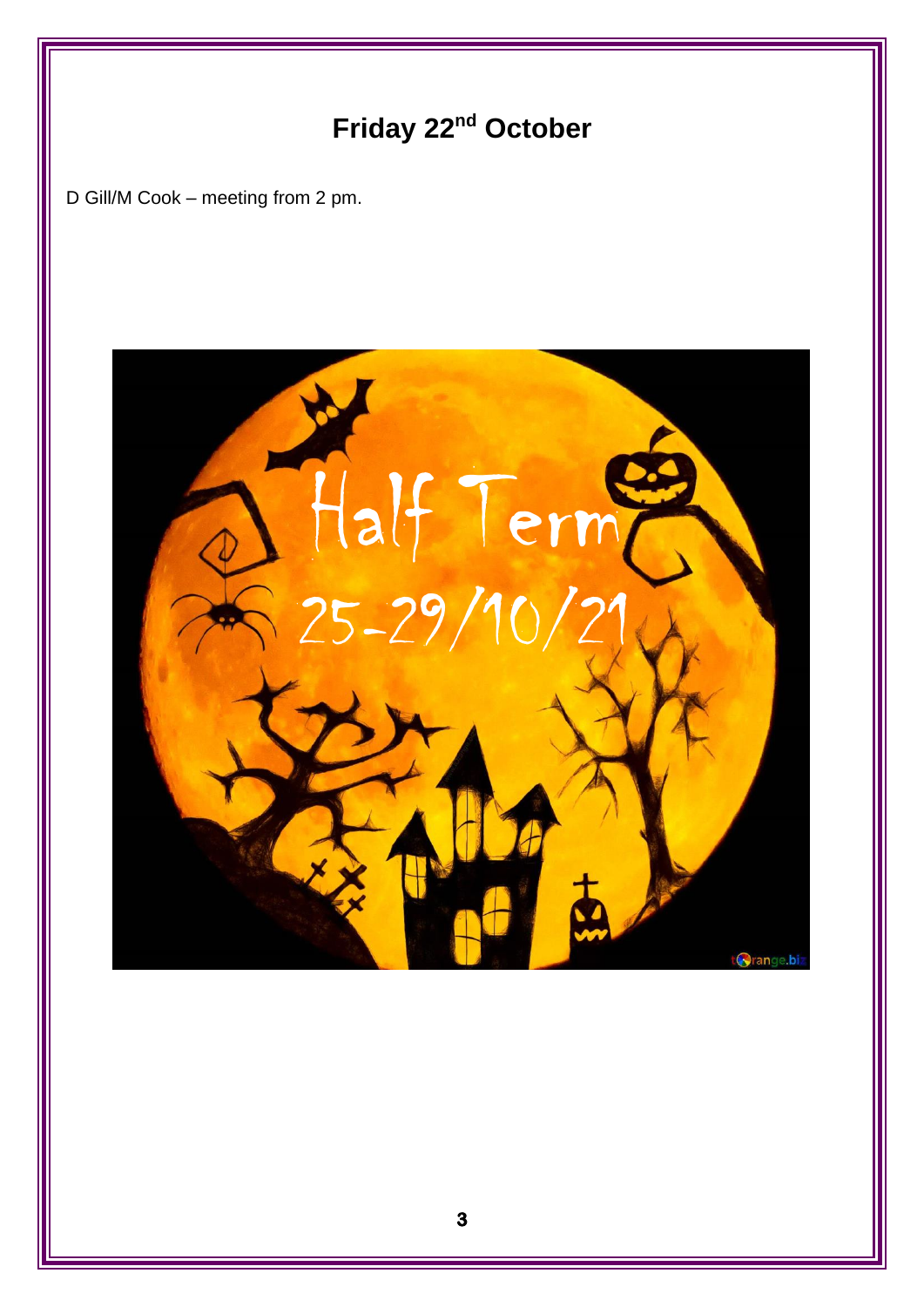